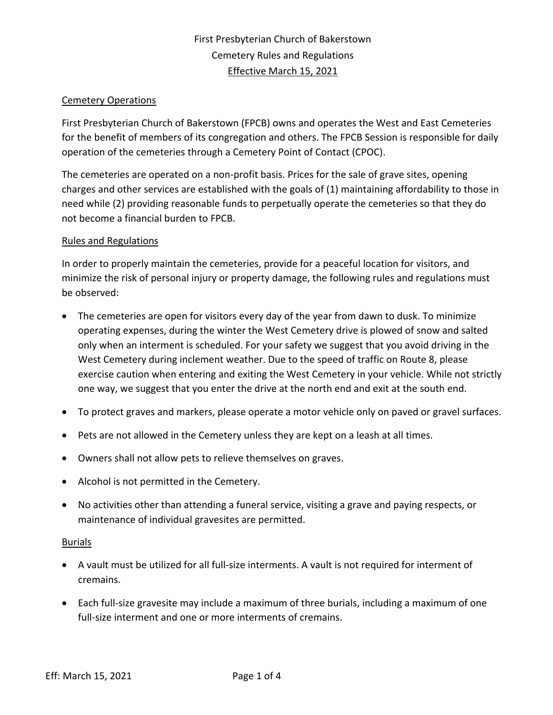# Cemetery Operations

First Presbyterian Church of Bakerstown (FPCB) owns and operates the West and East Cemeteries for the benefit of members of its congregation and others. The FPCB Session is responsible for daily operation of the cemeteries through a Cemetery Point of Contact (CPOC).

The cemeteries are operated on a non-profit basis. Prices for the sale of grave sites, opening charges and other services are established with the goals of (1) maintaining affordability to those in need while (2) providing reasonable funds to perpetually operate the cemeteries so that they do not become a financial burden to FPCB.

### Rules and Regulations

In order to properly maintain the cemeteries, provide for a peaceful location for visitors, and minimize the risk of personal injury or property damage, the following rules and regulations must be observed:

- The cemeteries are open for visitors every day of the year from dawn to dusk. To minimize operating expenses, during the winter the West Cemetery drive is plowed of snow and salted only when an interment is scheduled. For your safety we suggest that you avoid driving in the West Cemetery during inclement weather. Due to the speed of traffic on Route 8, please exercise caution when entering and exiting the West Cemetery in your vehicle. While not strictly one way, we suggest that you enter the drive at the north end and exit at the south end.
- To protect graves and markers, please operate a motor vehicle only on paved or gravel surfaces.
- Pets are not allowed in the Cemetery unless they are kept on a leash at all times.
- Owners shall not allow pets to relieve themselves on graves.
- Alcohol is not permitted in the Cemetery.
- No activities other than attending a funeral service, visiting a grave and paying respects, or maintenance of individual gravesites are permitted.

#### Burials

- A vault must be utilized for all full‐size interments. A vault is not required for interment of cremains.
- Each full-size gravesite may include a maximum of three burials, including a maximum of one full-size interment and one or more interments of cremains.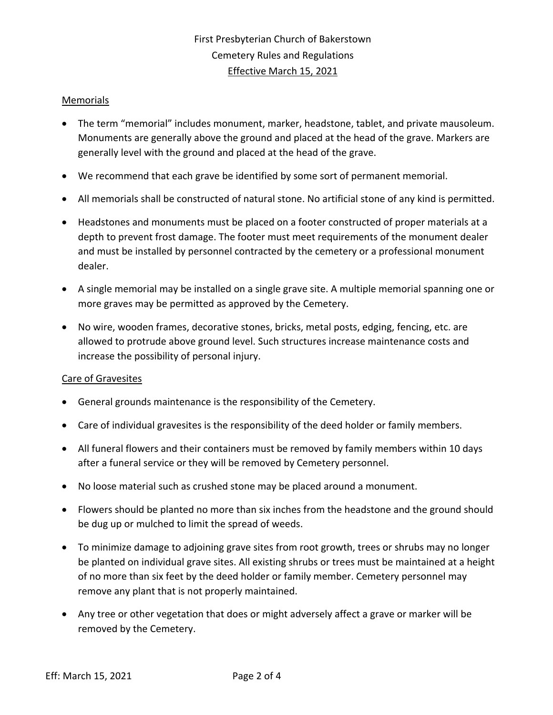# Memorials

- The term "memorial" includes monument, marker, headstone, tablet, and private mausoleum. Monuments are generally above the ground and placed at the head of the grave. Markers are generally level with the ground and placed at the head of the grave.
- We recommend that each grave be identified by some sort of permanent memorial.
- All memorials shall be constructed of natural stone. No artificial stone of any kind is permitted.
- Headstones and monuments must be placed on a footer constructed of proper materials at a depth to prevent frost damage. The footer must meet requirements of the monument dealer and must be installed by personnel contracted by the cemetery or a professional monument dealer.
- A single memorial may be installed on a single grave site. A multiple memorial spanning one or more graves may be permitted as approved by the Cemetery.
- No wire, wooden frames, decorative stones, bricks, metal posts, edging, fencing, etc. are allowed to protrude above ground level. Such structures increase maintenance costs and increase the possibility of personal injury.

### Care of Gravesites

- General grounds maintenance is the responsibility of the Cemetery.
- Care of individual gravesites is the responsibility of the deed holder or family members.
- All funeral flowers and their containers must be removed by family members within 10 days after a funeral service or they will be removed by Cemetery personnel.
- No loose material such as crushed stone may be placed around a monument.
- Flowers should be planted no more than six inches from the headstone and the ground should be dug up or mulched to limit the spread of weeds.
- To minimize damage to adjoining grave sites from root growth, trees or shrubs may no longer be planted on individual grave sites. All existing shrubs or trees must be maintained at a height of no more than six feet by the deed holder or family member. Cemetery personnel may remove any plant that is not properly maintained.
- Any tree or other vegetation that does or might adversely affect a grave or marker will be removed by the Cemetery.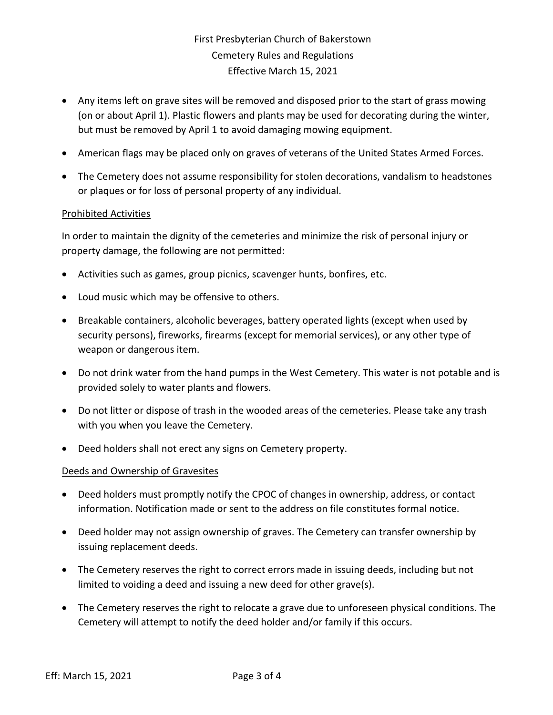- Any items left on grave sites will be removed and disposed prior to the start of grass mowing (on or about April 1). Plastic flowers and plants may be used for decorating during the winter, but must be removed by April 1 to avoid damaging mowing equipment.
- American flags may be placed only on graves of veterans of the United States Armed Forces.
- The Cemetery does not assume responsibility for stolen decorations, vandalism to headstones or plaques or for loss of personal property of any individual.

### Prohibited Activities

In order to maintain the dignity of the cemeteries and minimize the risk of personal injury or property damage, the following are not permitted:

- Activities such as games, group picnics, scavenger hunts, bonfires, etc.
- Loud music which may be offensive to others.
- Breakable containers, alcoholic beverages, battery operated lights (except when used by security persons), fireworks, firearms (except for memorial services), or any other type of weapon or dangerous item.
- Do not drink water from the hand pumps in the West Cemetery. This water is not potable and is provided solely to water plants and flowers.
- Do not litter or dispose of trash in the wooded areas of the cemeteries. Please take any trash with you when you leave the Cemetery.
- Deed holders shall not erect any signs on Cemetery property.

### Deeds and Ownership of Gravesites

- Deed holders must promptly notify the CPOC of changes in ownership, address, or contact information. Notification made or sent to the address on file constitutes formal notice.
- Deed holder may not assign ownership of graves. The Cemetery can transfer ownership by issuing replacement deeds.
- The Cemetery reserves the right to correct errors made in issuing deeds, including but not limited to voiding a deed and issuing a new deed for other grave(s).
- The Cemetery reserves the right to relocate a grave due to unforeseen physical conditions. The Cemetery will attempt to notify the deed holder and/or family if this occurs.